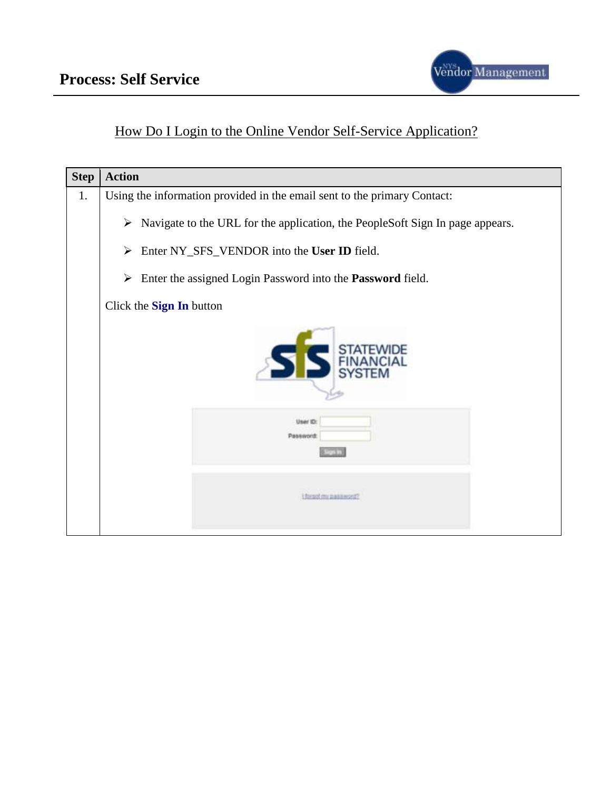

#### How Do I Login to the Online Vendor Self-Service Application?

| <b>Step</b> | <b>Action</b>                                                                       |
|-------------|-------------------------------------------------------------------------------------|
| 1.          | Using the information provided in the email sent to the primary Contact:            |
|             | Navigate to the URL for the application, the PeopleSoft Sign In page appears.<br>➤  |
|             | Enter NY_SFS_VENDOR into the User ID field.<br>➤                                    |
|             | Enter the assigned Login Password into the Password field.<br>$\blacktriangleright$ |
|             | Click the Sign In button                                                            |
|             |                                                                                     |
|             | User ID:<br><b>Password</b>                                                         |
|             | <b>I forgot my password?</b>                                                        |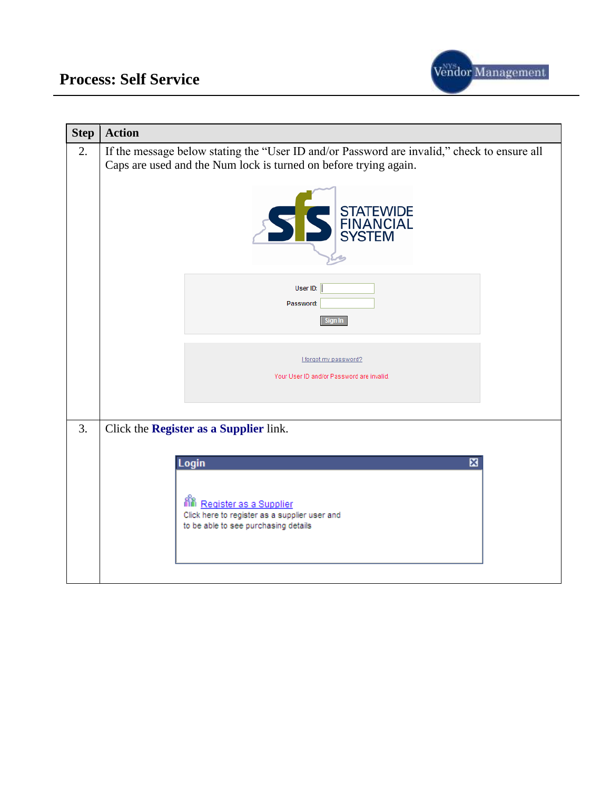

| <b>Step</b> | <b>Action</b>                                                                                                                                                   |
|-------------|-----------------------------------------------------------------------------------------------------------------------------------------------------------------|
| 2.          | If the message below stating the "User ID and/or Password are invalid," check to ensure all<br>Caps are used and the Num lock is turned on before trying again. |
|             | STATEWIDE                                                                                                                                                       |
|             | User ID:<br>Password:<br>Sign In                                                                                                                                |
|             | I forgot my password?<br>Your User ID and/or Password are invalid.                                                                                              |
| 3.          | Click the Register as a Supplier link.                                                                                                                          |
|             | Login<br>⊠                                                                                                                                                      |
|             | 綌<br>Register as a Supplier<br>Click here to register as a supplier user and<br>to be able to see purchasing details                                            |
|             |                                                                                                                                                                 |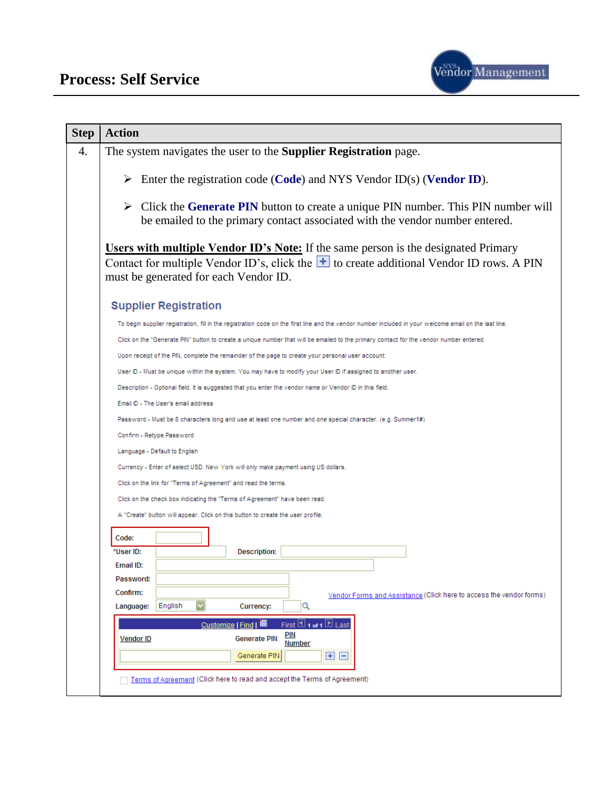

| <b>Step</b> | <b>Action</b>                                                                                                                                                                                                                               |
|-------------|---------------------------------------------------------------------------------------------------------------------------------------------------------------------------------------------------------------------------------------------|
| 4.          | The system navigates the user to the <b>Supplier Registration</b> page.                                                                                                                                                                     |
|             | Enter the registration code (Code) and NYS Vendor ID(s) (Vendor ID).                                                                                                                                                                        |
|             | $\triangleright$ Click the Generate PIN button to create a unique PIN number. This PIN number will<br>be emailed to the primary contact associated with the vendor number entered.                                                          |
|             | <b>Users with multiple Vendor ID's Note:</b> If the same person is the designated Primary<br>Contact for multiple Vendor ID's, click the $\blacksquare$ to create additional Vendor ID rows. A PIN<br>must be generated for each Vendor ID. |
|             | <b>Supplier Registration</b>                                                                                                                                                                                                                |
|             | To begin supplier registration, fill in the registration code on the first line and the vendor number included in your welcome email on the last line.                                                                                      |
|             | Click on the "Generate PIN" button to create a unique number that will be emailed to the primary contact for the vendor number entered.                                                                                                     |
|             | Upon receipt of the PIN, complete the remainder of the page to create your personal user account:                                                                                                                                           |
|             | User ID - Must be unique within the system. You may have to modify your User ID if assigned to another user.                                                                                                                                |
|             | Description - Optional field. It is suggested that you enter the vendor name or Vendor ID in this field.                                                                                                                                    |
|             | Email ID - The User's email address                                                                                                                                                                                                         |
|             | Password - Must be 8 characters long and use at least one number and one special character. (e.g. Summer1#)                                                                                                                                 |
|             | Confirm - Retype Password                                                                                                                                                                                                                   |
|             | Language - Default to English                                                                                                                                                                                                               |
|             | Currency - Enter of select USD. New York will only make payment using US dollars.                                                                                                                                                           |
|             | Click on the link for "Terms of Agreement" and read the terms.                                                                                                                                                                              |
|             | Click on the check box indicating the "Terms of Agreement" have been read.                                                                                                                                                                  |
|             | A "Create" button will appear. Click on this button to create the user profile.                                                                                                                                                             |
|             | Code:                                                                                                                                                                                                                                       |
|             | *User ID:<br>Description:                                                                                                                                                                                                                   |
|             | Email ID:                                                                                                                                                                                                                                   |
|             | Password:                                                                                                                                                                                                                                   |
|             | Confirm:<br>Vendor Forms and Assistance (Click here to access the vendor forms)                                                                                                                                                             |
|             | Y<br>English<br>$\alpha$<br>Language:<br>Currency:                                                                                                                                                                                          |
|             | First $\boxplus$ 1 of 1 $\boxplus$ Last<br>Customize   Find   TH<br><b>PIN</b><br><b>Generate PIN</b><br><b>Vendor ID</b><br>Number<br>Generate PIN<br>$\boxplus$ $\boxminus$                                                               |
|             | Terms of Agreement (Click here to read and accept the Terms of Agreement)                                                                                                                                                                   |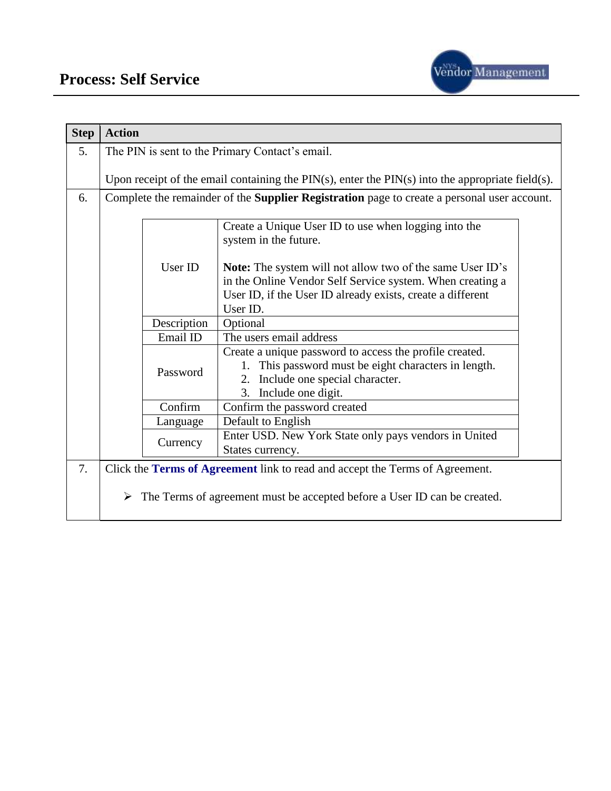

| <b>Step</b> | <b>Action</b> |                                                                                                       |
|-------------|---------------|-------------------------------------------------------------------------------------------------------|
| 5.          |               | The PIN is sent to the Primary Contact's email.                                                       |
|             |               |                                                                                                       |
|             |               | Upon receipt of the email containing the $PIN(s)$ , enter the $PIN(s)$ into the appropriate field(s). |
| 6.          |               | Complete the remainder of the Supplier Registration page to create a personal user account.           |
|             |               |                                                                                                       |
|             |               | Create a Unique User ID to use when logging into the                                                  |
|             |               | system in the future.                                                                                 |
|             |               |                                                                                                       |
|             | User ID       | <b>Note:</b> The system will not allow two of the same User ID's                                      |
|             |               | in the Online Vendor Self Service system. When creating a                                             |
|             |               | User ID, if the User ID already exists, create a different<br>User ID.                                |
|             |               |                                                                                                       |
|             | Description   | Optional                                                                                              |
|             | Email ID      | The users email address                                                                               |
|             |               | Create a unique password to access the profile created.                                               |
|             | Password      | 1. This password must be eight characters in length.                                                  |
|             |               | 2. Include one special character.                                                                     |
|             |               | 3. Include one digit.                                                                                 |
|             | Confirm       | Confirm the password created                                                                          |
|             | Language      | Default to English                                                                                    |
|             | Currency      | Enter USD. New York State only pays vendors in United                                                 |
|             |               | States currency.                                                                                      |
| 7.          |               | Click the Terms of Agreement link to read and accept the Terms of Agreement.                          |
|             |               |                                                                                                       |
|             | ➤             | The Terms of agreement must be accepted before a User ID can be created.                              |
|             |               |                                                                                                       |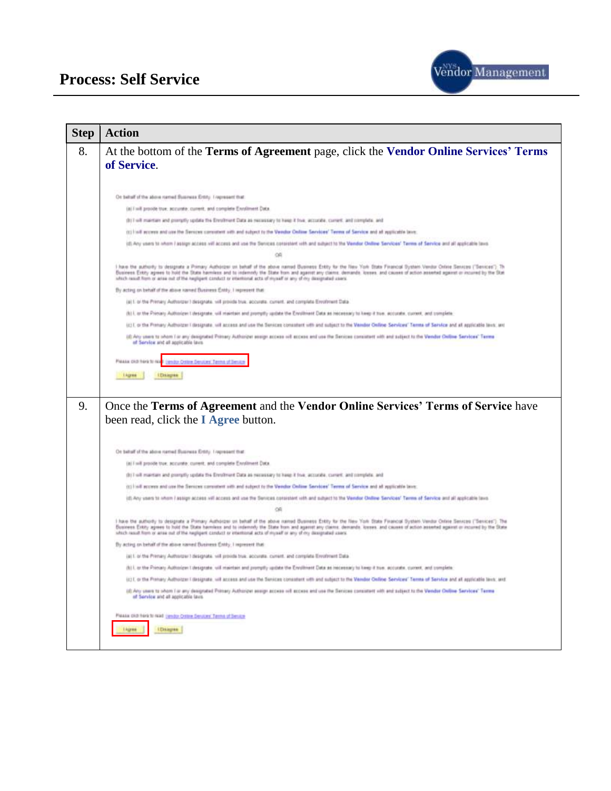

| <b>Step</b> | <b>Action</b>                                                                                                                                                                                                                                                                                                                                                                                                                                                                                            |
|-------------|----------------------------------------------------------------------------------------------------------------------------------------------------------------------------------------------------------------------------------------------------------------------------------------------------------------------------------------------------------------------------------------------------------------------------------------------------------------------------------------------------------|
| 8.          | At the bottom of the Terms of Agreement page, click the Vendor Online Services' Terms<br>of Service.                                                                                                                                                                                                                                                                                                                                                                                                     |
|             |                                                                                                                                                                                                                                                                                                                                                                                                                                                                                                          |
|             | On behalf of the above named Business Entity. I represent that                                                                                                                                                                                                                                                                                                                                                                                                                                           |
|             | (a) I will provide true; accurate; current, and complete Enrolment Data.                                                                                                                                                                                                                                                                                                                                                                                                                                 |
|             | (b) Trell maintain and prengtly update the Enrolment Clata as necessary to heap it free, accords, corrent, and complete, and                                                                                                                                                                                                                                                                                                                                                                             |
|             | (ii) I isll access and use the Secrets comment with and subject to the Vendor Online Secritors' Terms of Service and at applicable brott.                                                                                                                                                                                                                                                                                                                                                                |
|             | (d) Any users to whom I assign access will access and use the Senicas consistent with and subject to the Vention Online Sendoes' Terms of Service and all applicable laws.                                                                                                                                                                                                                                                                                                                               |
|             | ÖĤ.                                                                                                                                                                                                                                                                                                                                                                                                                                                                                                      |
|             | I have the authority to designate a Phimary Authorizer on behalf of the above named Bysiness Entity for the New York-State Financial System Vendor Online Seniose ("Services"); Th<br>Business Entity agrees to hold the Stute harmless and to indemnly the State from and agenct any clience, demands, kreess, and causes of action asserted against or incurred by the Stat<br>which result from or arraic out of the negligant conduct or intentional acts of myself or any of my designated users.   |
|             | By acting on behalf of the above named Business EMBy. I represent that                                                                                                                                                                                                                                                                                                                                                                                                                                   |
|             | (a) I. or the Primary Authorizer I designate, vill provide true, accurate, current, and complete Enrothment Data                                                                                                                                                                                                                                                                                                                                                                                         |
|             | (b) I, or the Primary Authorizer Librarynate, will maintain and promptly raciate the Enrollment Data an inconeasy to lives it has, accurate, current, and complete.                                                                                                                                                                                                                                                                                                                                      |
|             | (c) I, or the Prenary Authorizer I designate, will access and use the Services consistent with and subject to the Vender Online Services' Terms of Service and all applicable laws; and                                                                                                                                                                                                                                                                                                                  |
|             | (if) Any uses to ohem I is any designeed Primary Authorizer assign access set access and use the Services comment with and subject to the Vender Online Services' Terms<br>of Service and all applicable lave.                                                                                                                                                                                                                                                                                           |
|             | Please clid here to real.<br>Vendor Ostere Derutors' Tenna of Denior                                                                                                                                                                                                                                                                                                                                                                                                                                     |
|             | <b>Libraryan</b><br><b>I Agree</b>                                                                                                                                                                                                                                                                                                                                                                                                                                                                       |
|             |                                                                                                                                                                                                                                                                                                                                                                                                                                                                                                          |
|             |                                                                                                                                                                                                                                                                                                                                                                                                                                                                                                          |
|             |                                                                                                                                                                                                                                                                                                                                                                                                                                                                                                          |
|             |                                                                                                                                                                                                                                                                                                                                                                                                                                                                                                          |
| 9.          | Once the Terms of Agreement and the Vendor Online Services' Terms of Service have                                                                                                                                                                                                                                                                                                                                                                                                                        |
|             | been read, click the <b>I Agree</b> button.                                                                                                                                                                                                                                                                                                                                                                                                                                                              |
|             |                                                                                                                                                                                                                                                                                                                                                                                                                                                                                                          |
|             | On behalf of the above named Business Entity. I represent that                                                                                                                                                                                                                                                                                                                                                                                                                                           |
|             | (a) I will provide true; accurate; current, and complete Enrolment Data.                                                                                                                                                                                                                                                                                                                                                                                                                                 |
|             | (b) I will maintain and primptly update the Enrolment Cata as necessary to heap it frue, accords, corrent, and complete, and                                                                                                                                                                                                                                                                                                                                                                             |
|             | (ii) I isll account and use the Secretor comment with and subject to the Vendor Online Secretors' Terms of Service and at applicable brott.                                                                                                                                                                                                                                                                                                                                                              |
|             | (d) Any users to whom I assign access will access and use the Services consistent with and subject to the Vendor Online Services' Terms of Service and all applicable (axis                                                                                                                                                                                                                                                                                                                              |
|             |                                                                                                                                                                                                                                                                                                                                                                                                                                                                                                          |
|             | I have the authority to designate a Phimary Authorizer on behalf of the above named Dusiness Entity for the New York State Financial Dystem Vendor Online Sensors ("Services"): The<br>Business Entity agrees to hold the Stute harmless and to indemntly the State from and agenct any claims, demands, kreses, and causes of action assested against or incurred by the State<br>which result from or arraic out of the negligant conduct or intentional acts of myself or any of my designated users. |
|             | By acting on behalf of the above named Business EMIty, I represent that                                                                                                                                                                                                                                                                                                                                                                                                                                  |
|             | (a) I. or the Primary Authorizer I designate, vill projots true, accurate, current, and complete Enrothnent Data.                                                                                                                                                                                                                                                                                                                                                                                        |
|             | (b) I, an the Primary Authorizer Literagonte, will maintain and promptly spilate the Enrollment Data as inscessely to keep it true, eccurate, current, and complete.                                                                                                                                                                                                                                                                                                                                     |
|             | (c) I, or the Prenary Autholizer I designate, will access and use the Services consistent with and subject to the Vender Online Services' Terms of Service and all applicable laws; and                                                                                                                                                                                                                                                                                                                  |
|             | (it) Any uses to ohem I in any designated Primary Authorizer assign access will econoc and use the Senices consistent with and subject to the Vender Online Services' Terms<br>of Service and all applicable laws.                                                                                                                                                                                                                                                                                       |
|             | Please clid here to read then by Critics Services' Terms of Service                                                                                                                                                                                                                                                                                                                                                                                                                                      |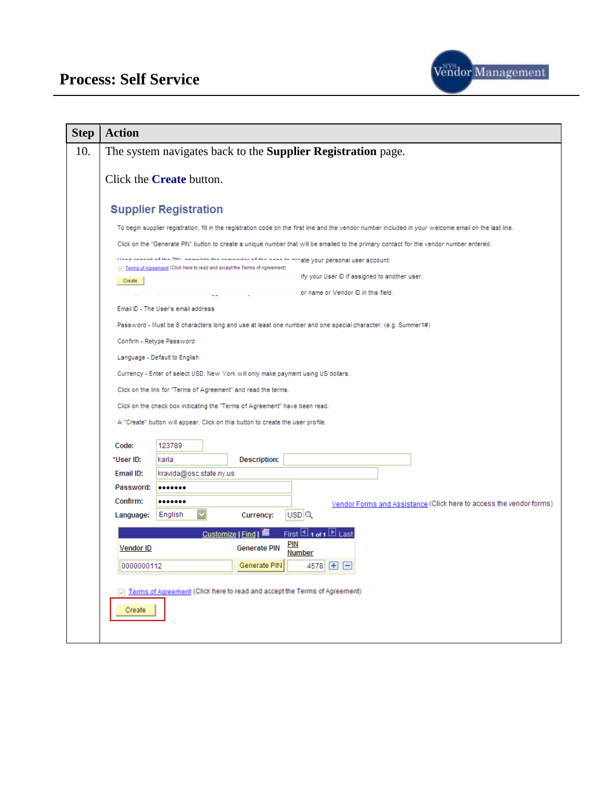

| <b>Step</b> | <b>Action</b>                                                                                                                                          |
|-------------|--------------------------------------------------------------------------------------------------------------------------------------------------------|
| 10.         | The system navigates back to the Supplier Registration page.                                                                                           |
|             | Click the <b>Create</b> button.                                                                                                                        |
|             | <b>Supplier Registration</b>                                                                                                                           |
|             | To begin supplier registration, fill in the registration code on the first line and the vendor number included in your welcome email on the last line. |
|             | Click on the "Generate PIN" button to create a unique number that will be emailed to the primary contact for the vendor number entered.                |
|             | Hoop regains of the DIM, complete the completer of the nage to create your personal user account:                                                      |
|             | Terms of Agreement (Click here to read and accept the Terms of Agreement)<br>ify your User ID if assigned to another user.<br>Create                   |
|             | or name or Vendor ID in this field.                                                                                                                    |
|             | Email ID - The User's email address                                                                                                                    |
|             | Password - Must be 8 characters long and use at least one number and one special character. (e.g. Summer1#)                                            |
|             | Confirm - Retype Password                                                                                                                              |
|             | Language - Default to English                                                                                                                          |
|             | Currency - Enter of select USD. New York will only make payment using US dollars.                                                                      |
|             | Click on the link for "Terms of Agreement" and read the terms.                                                                                         |
|             | Click on the check box indicating the "Terms of Agreement" have been read.                                                                             |
|             | A "Create" button will appear. Click on this button to create the user profile.                                                                        |
|             | Code:<br>123789                                                                                                                                        |
|             | *User ID:<br><b>Description:</b><br>karla                                                                                                              |
|             | Email ID:<br>kravida@osc.state.ny.us                                                                                                                   |
|             | Password:<br>                                                                                                                                          |
|             | Confirm:<br><br>Vendor Forms and Assistance (Click here to access the vendor forms)                                                                    |
|             | USD <sup>Q</sup><br>English<br>Language:<br>Currency:                                                                                                  |
|             | First 1 1 of 1<br>Customize   Find   THE<br>E                                                                                                          |
|             | <b>PIN</b><br><b>Generate PIN</b><br><b>Vendor ID</b><br><b>Number</b>                                                                                 |
|             | Generate PIN<br>$\vert + \vert$<br>0000000112<br>4578                                                                                                  |
|             |                                                                                                                                                        |
|             | Terms of Agreement (Click here to read and accept the Terms of Agreement)                                                                              |
|             | Create                                                                                                                                                 |
|             |                                                                                                                                                        |
|             |                                                                                                                                                        |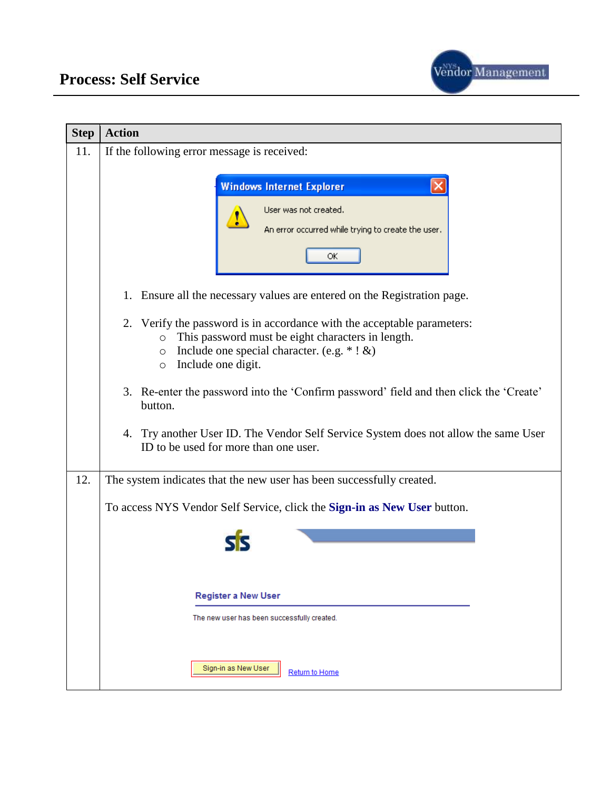

| <b>Step</b> | <b>Action</b>                                                                                                                                                                                                                           |
|-------------|-----------------------------------------------------------------------------------------------------------------------------------------------------------------------------------------------------------------------------------------|
| 11.         | If the following error message is received:                                                                                                                                                                                             |
|             | <b>Windows Internet Explorer</b><br>User was not created.<br>An error occurred while trying to create the user.<br>ОК                                                                                                                   |
|             | 1. Ensure all the necessary values are entered on the Registration page.                                                                                                                                                                |
|             | Verify the password is in accordance with the acceptable parameters:<br>2.<br>This password must be eight characters in length.<br>$\circ$<br>Include one special character. (e.g. $*$ ! &)<br>$\circ$<br>Include one digit.<br>$\circ$ |
|             | 3. Re-enter the password into the 'Confirm password' field and then click the 'Create'<br>button.                                                                                                                                       |
|             | 4. Try another User ID. The Vendor Self Service System does not allow the same User<br>ID to be used for more than one user.                                                                                                            |
| 12.         | The system indicates that the new user has been successfully created.                                                                                                                                                                   |
|             | To access NYS Vendor Self Service, click the Sign-in as New User button.                                                                                                                                                                |
|             |                                                                                                                                                                                                                                         |
|             | <b>Register a New User</b><br>The new user has been successfully created.                                                                                                                                                               |
|             | Sign-in as New User<br>Return to Home                                                                                                                                                                                                   |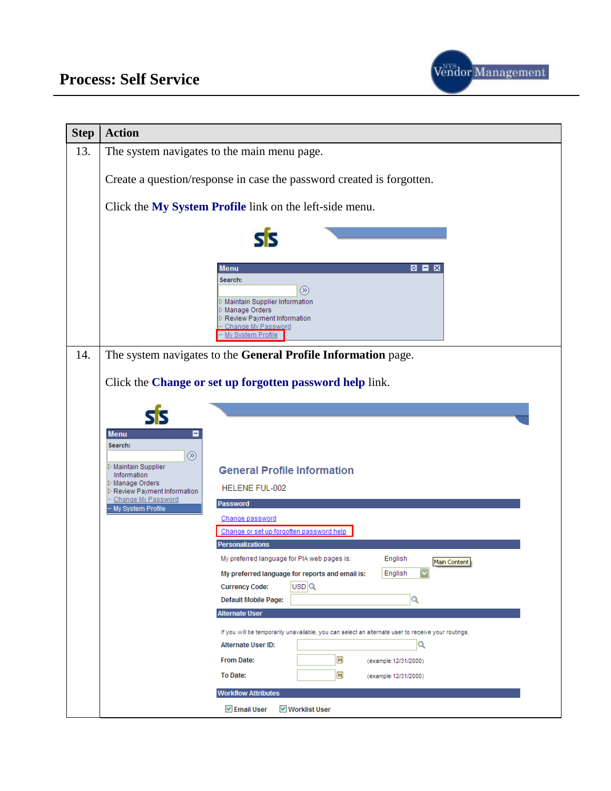

| <b>Step</b> | <b>Action</b>                                                                                                                                                                                                                                                                  |
|-------------|--------------------------------------------------------------------------------------------------------------------------------------------------------------------------------------------------------------------------------------------------------------------------------|
| 13.         | The system navigates to the main menu page.                                                                                                                                                                                                                                    |
|             | Create a question/response in case the password created is forgotten.                                                                                                                                                                                                          |
|             | Click the My System Profile link on the left-side menu.                                                                                                                                                                                                                        |
|             |                                                                                                                                                                                                                                                                                |
|             | <b>BEX</b><br><b>Menu</b><br>Search:<br>$\circledR$<br>D Maintain Supplier Information<br>▷ Manage Orders<br>D Review Payment Information<br>Change My Password<br>My System Profile                                                                                           |
| 14.         | The system navigates to the General Profile Information page.                                                                                                                                                                                                                  |
|             | Click the Change or set up forgotten password help link.                                                                                                                                                                                                                       |
|             |                                                                                                                                                                                                                                                                                |
|             | <b>Menu</b><br>Е<br>Search:<br>$\circledR$<br>▷ Maintain Supplier<br><b>General Profile Information</b><br>Information<br>▷ Manage Orders<br>HELENE FUL-002<br>D Review Payment Information<br>Change My Password<br><b>Password</b><br>- My System Profile<br>Change password |
|             | Change or set up forgotten password help                                                                                                                                                                                                                                       |
|             | <b>Personalizations</b><br>English<br>My preferred language for PIA web pages is:<br>Main Content<br>My preferred language for reports and email is:<br>English<br>USD <sup>Q</sup><br><b>Currency Code:</b><br>$\alpha$<br>Default Mobile Page:                               |
|             | <b>Alternate User</b>                                                                                                                                                                                                                                                          |
|             | If you will be temporarily unavailable, you can select an alternate user to receive your routings.<br>Q<br><b>Alternate User ID:</b><br>E<br>From Date:<br>(example:12/31/2000)                                                                                                |
|             | E<br>To Date:<br>(example: 12/31/2000)                                                                                                                                                                                                                                         |
|             | <b>Workflow Attributes</b>                                                                                                                                                                                                                                                     |
|             | <b>▽</b> Email User<br><b>▽</b> Worklist User                                                                                                                                                                                                                                  |